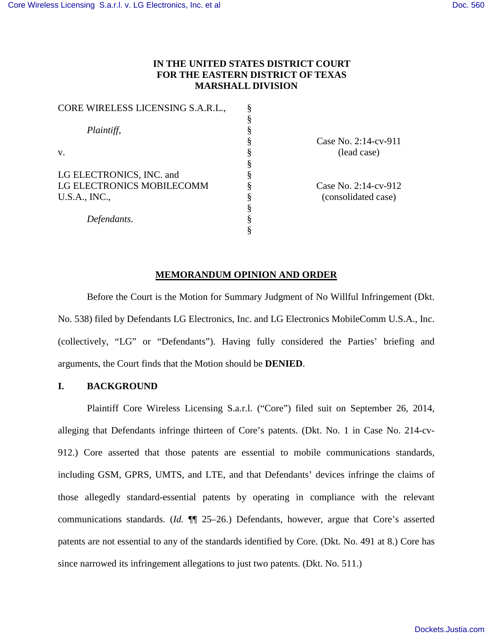# **IN THE UNITED STATES DISTRICT COURT FOR THE EASTERN DISTRICT OF TEXAS MARSHALL DIVISION**

| CORE WIRELESS LICENSING S.A.R.L., |  |
|-----------------------------------|--|
|                                   |  |
| Plaintiff,                        |  |
|                                   |  |
| v.                                |  |
|                                   |  |
| LG ELECTRONICS, INC. and          |  |
| LG ELECTRONICS MOBILECOMM         |  |
| <b>U.S.A., INC.,</b>              |  |
|                                   |  |
| Defendants.                       |  |
|                                   |  |

Case No. 2:14-cv-911 (lead case)

Case No. 2:14-cv-912 (consolidated case)

## **MEMORANDUM OPINION AND ORDER**

Before the Court is the Motion for Summary Judgment of No Willful Infringement (Dkt. No. 538) filed by Defendants LG Electronics, Inc. and LG Electronics MobileComm U.S.A., Inc. (collectively, "LG" or "Defendants"). Having fully considered the Parties' briefing and arguments, the Court finds that the Motion should be **DENIED**.

## **I. BACKGROUND**

Plaintiff Core Wireless Licensing S.a.r.l. ("Core") filed suit on September 26, 2014, alleging that Defendants infringe thirteen of Core's patents. (Dkt. No. 1 in Case No. 214-cv-912.) Core asserted that those patents are essential to mobile communications standards, including GSM, GPRS, UMTS, and LTE, and that Defendants' devices infringe the claims of those allegedly standard-essential patents by operating in compliance with the relevant communications standards. (*Id.* ¶¶ 25–26.) Defendants, however, argue that Core's asserted patents are not essential to any of the standards identified by Core. (Dkt. No. 491 at 8.) Core has since narrowed its infringement allegations to just two patents. (Dkt. No. 511.)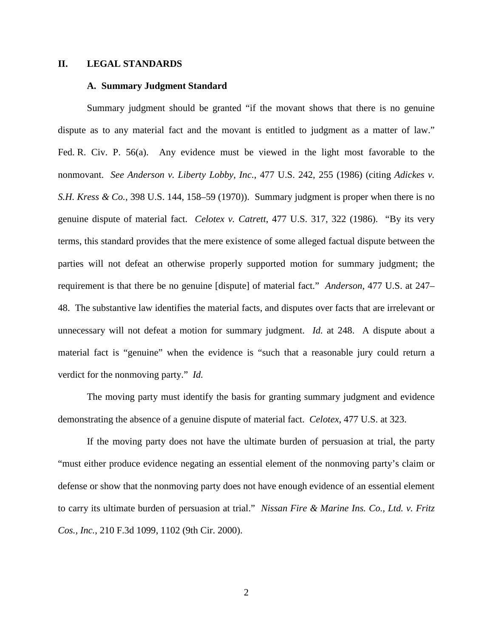### **II. LEGAL STANDARDS**

## **A. Summary Judgment Standard**

Summary judgment should be granted "if the movant shows that there is no genuine dispute as to any material fact and the movant is entitled to judgment as a matter of law." Fed. R. Civ. P. 56(a). Any evidence must be viewed in the light most favorable to the nonmovant. *See Anderson v. Liberty Lobby, Inc.*, 477 U.S. 242, 255 (1986) (citing *Adickes v. S.H. Kress & Co.*, 398 U.S. 144, 158–59 (1970)). Summary judgment is proper when there is no genuine dispute of material fact. *Celotex v. Catrett*, 477 U.S. 317, 322 (1986). "By its very terms, this standard provides that the mere existence of some alleged factual dispute between the parties will not defeat an otherwise properly supported motion for summary judgment; the requirement is that there be no genuine [dispute] of material fact." *Anderson*, 477 U.S. at 247– 48. The substantive law identifies the material facts, and disputes over facts that are irrelevant or unnecessary will not defeat a motion for summary judgment. *Id.* at 248. A dispute about a material fact is "genuine" when the evidence is "such that a reasonable jury could return a verdict for the nonmoving party." *Id.*

The moving party must identify the basis for granting summary judgment and evidence demonstrating the absence of a genuine dispute of material fact. *Celotex*, 477 U.S. at 323.

If the moving party does not have the ultimate burden of persuasion at trial, the party "must either produce evidence negating an essential element of the nonmoving party's claim or defense or show that the nonmoving party does not have enough evidence of an essential element to carry its ultimate burden of persuasion at trial." *Nissan Fire & Marine Ins. Co., Ltd. v. Fritz Cos., Inc.*, 210 F.3d 1099, 1102 (9th Cir. 2000).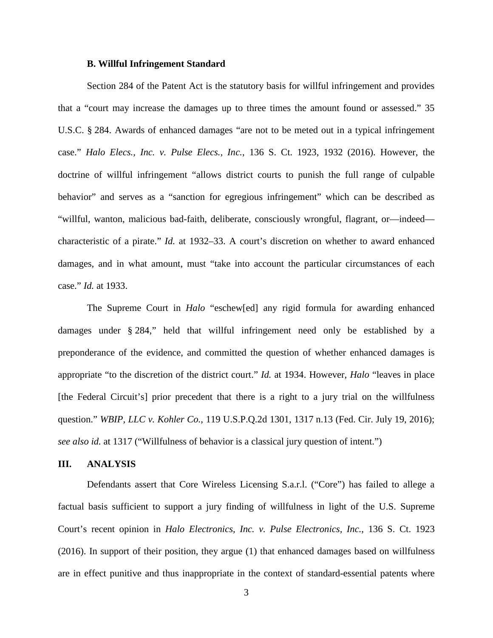## **B. Willful Infringement Standard**

Section 284 of the Patent Act is the statutory basis for willful infringement and provides that a "court may increase the damages up to three times the amount found or assessed." 35 U.S.C. § 284. Awards of enhanced damages "are not to be meted out in a typical infringement case." *Halo Elecs., Inc. v. Pulse Elecs., Inc.*, 136 S. Ct. 1923, 1932 (2016). However, the doctrine of willful infringement "allows district courts to punish the full range of culpable behavior" and serves as a "sanction for egregious infringement" which can be described as "willful, wanton, malicious bad-faith, deliberate, consciously wrongful, flagrant, or—indeed characteristic of a pirate." *Id.* at 1932–33. A court's discretion on whether to award enhanced damages, and in what amount, must "take into account the particular circumstances of each case." *Id.* at 1933.

The Supreme Court in *Halo* "eschew[ed] any rigid formula for awarding enhanced damages under § 284," held that willful infringement need only be established by a preponderance of the evidence, and committed the question of whether enhanced damages is appropriate "to the discretion of the district court." *Id.* at 1934. However, *Halo* "leaves in place [the Federal Circuit's] prior precedent that there is a right to a jury trial on the willfulness question." *WBIP, LLC v. Kohler Co.*, 119 U.S.P.Q.2d 1301, 1317 n.13 (Fed. Cir. July 19, 2016); *see also id.* at 1317 ("Willfulness of behavior is a classical jury question of intent.")

### **III. ANALYSIS**

Defendants assert that Core Wireless Licensing S.a.r.l. ("Core") has failed to allege a factual basis sufficient to support a jury finding of willfulness in light of the U.S. Supreme Court's recent opinion in *Halo Electronics, Inc. v. Pulse Electronics, Inc.*, 136 S. Ct. 1923 (2016). In support of their position, they argue (1) that enhanced damages based on willfulness are in effect punitive and thus inappropriate in the context of standard-essential patents where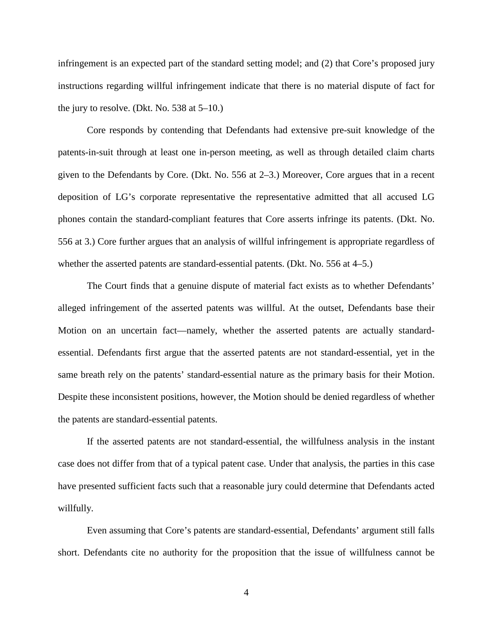infringement is an expected part of the standard setting model; and (2) that Core's proposed jury instructions regarding willful infringement indicate that there is no material dispute of fact for the jury to resolve. (Dkt. No.  $538$  at  $5-10$ .)

Core responds by contending that Defendants had extensive pre-suit knowledge of the patents-in-suit through at least one in-person meeting, as well as through detailed claim charts given to the Defendants by Core. (Dkt. No. 556 at 2–3.) Moreover, Core argues that in a recent deposition of LG's corporate representative the representative admitted that all accused LG phones contain the standard-compliant features that Core asserts infringe its patents. (Dkt. No. 556 at 3.) Core further argues that an analysis of willful infringement is appropriate regardless of whether the asserted patents are standard-essential patents. (Dkt. No. 556 at 4–5.)

The Court finds that a genuine dispute of material fact exists as to whether Defendants' alleged infringement of the asserted patents was willful. At the outset, Defendants base their Motion on an uncertain fact—namely, whether the asserted patents are actually standardessential. Defendants first argue that the asserted patents are not standard-essential, yet in the same breath rely on the patents' standard-essential nature as the primary basis for their Motion. Despite these inconsistent positions, however, the Motion should be denied regardless of whether the patents are standard-essential patents.

If the asserted patents are not standard-essential, the willfulness analysis in the instant case does not differ from that of a typical patent case. Under that analysis, the parties in this case have presented sufficient facts such that a reasonable jury could determine that Defendants acted willfully.

Even assuming that Core's patents are standard-essential, Defendants' argument still falls short. Defendants cite no authority for the proposition that the issue of willfulness cannot be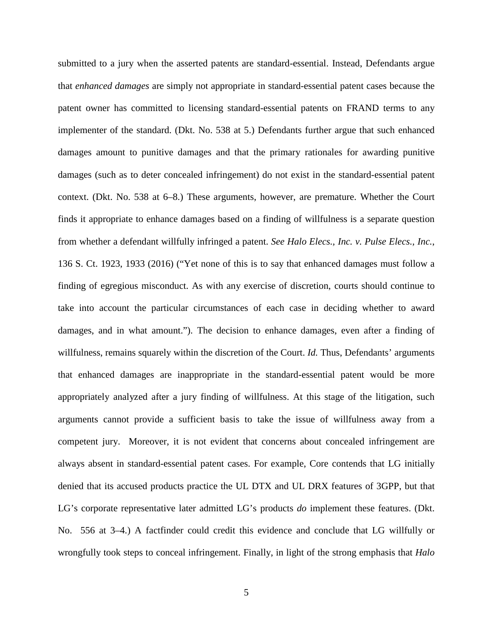submitted to a jury when the asserted patents are standard-essential. Instead, Defendants argue that *enhanced damages* are simply not appropriate in standard-essential patent cases because the patent owner has committed to licensing standard-essential patents on FRAND terms to any implementer of the standard. (Dkt. No. 538 at 5.) Defendants further argue that such enhanced damages amount to punitive damages and that the primary rationales for awarding punitive damages (such as to deter concealed infringement) do not exist in the standard-essential patent context. (Dkt. No. 538 at 6–8.) These arguments, however, are premature. Whether the Court finds it appropriate to enhance damages based on a finding of willfulness is a separate question from whether a defendant willfully infringed a patent. *See Halo Elecs., Inc. v. Pulse Elecs., Inc.*, 136 S. Ct. 1923, 1933 (2016) ("Yet none of this is to say that enhanced damages must follow a finding of egregious misconduct. As with any exercise of discretion, courts should continue to take into account the particular circumstances of each case in deciding whether to award damages, and in what amount."). The decision to enhance damages, even after a finding of willfulness, remains squarely within the discretion of the Court. *Id.* Thus, Defendants' arguments that enhanced damages are inappropriate in the standard-essential patent would be more appropriately analyzed after a jury finding of willfulness. At this stage of the litigation, such arguments cannot provide a sufficient basis to take the issue of willfulness away from a competent jury. Moreover, it is not evident that concerns about concealed infringement are always absent in standard-essential patent cases. For example, Core contends that LG initially denied that its accused products practice the UL DTX and UL DRX features of 3GPP, but that LG's corporate representative later admitted LG's products *do* implement these features. (Dkt. No. 556 at 3–4.) A factfinder could credit this evidence and conclude that LG willfully or wrongfully took steps to conceal infringement. Finally, in light of the strong emphasis that *Halo*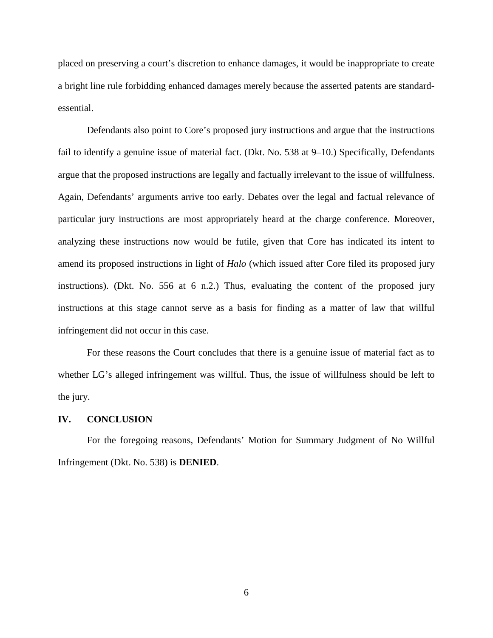placed on preserving a court's discretion to enhance damages, it would be inappropriate to create a bright line rule forbidding enhanced damages merely because the asserted patents are standardessential.

Defendants also point to Core's proposed jury instructions and argue that the instructions fail to identify a genuine issue of material fact. (Dkt. No. 538 at 9–10.) Specifically, Defendants argue that the proposed instructions are legally and factually irrelevant to the issue of willfulness. Again, Defendants' arguments arrive too early. Debates over the legal and factual relevance of particular jury instructions are most appropriately heard at the charge conference. Moreover, analyzing these instructions now would be futile, given that Core has indicated its intent to amend its proposed instructions in light of *Halo* (which issued after Core filed its proposed jury instructions). (Dkt. No. 556 at 6 n.2.) Thus, evaluating the content of the proposed jury instructions at this stage cannot serve as a basis for finding as a matter of law that willful infringement did not occur in this case.

For these reasons the Court concludes that there is a genuine issue of material fact as to whether LG's alleged infringement was willful. Thus, the issue of willfulness should be left to the jury.

#### **IV. CONCLUSION**

For the foregoing reasons, Defendants' Motion for Summary Judgment of No Willful Infringement (Dkt. No. 538) is **DENIED**.